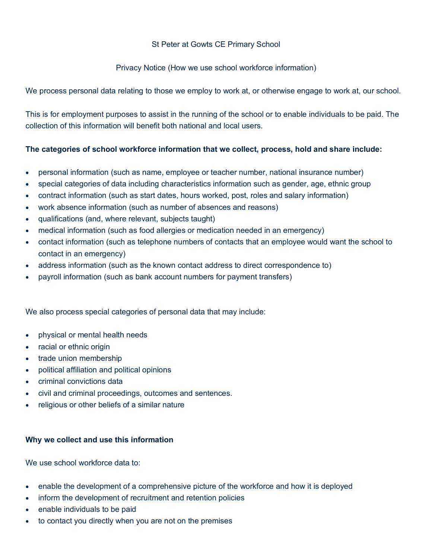# St Peter at Gowts CE Primary School

## Privacy Notice (How we use school workforce information)

We process personal data relating to those we employ to work at, or otherwise engage to work at, our school.

This is for employment purposes to assist in the running of the school or to enable individuals to be paid. The collection of this information will benefit both national and local users.

## **The categories of school workforce information that we collect, process, hold and share include:**

- personal information (such as name, employee or teacher number, national insurance number)
- special categories of data including characteristics information such as gender, age, ethnic group
- contract information (such as start dates, hours worked, post, roles and salary information)
- work absence information (such as number of absences and reasons)
- qualifications (and, where relevant, subjects taught)
- medical information (such as food allergies or medication needed in an emergency)
- contact information (such as telephone numbers of contacts that an employee would want the school to contact in an emergency)
- address information (such as the known contact address to direct correspondence to)
- payroll information (such as bank account numbers for payment transfers)

We also process special categories of personal data that may include:

- physical or mental health needs
- racial or ethnic origin
- trade union membership
- political affiliation and political opinions
- criminal convictions data
- civil and criminal proceedings, outcomes and sentences.
- religious or other beliefs of a similar nature

## **Why we collect and use this information**

We use school workforce data to:

- enable the development of a comprehensive picture of the workforce and how it is deployed
- inform the development of recruitment and retention policies
- enable individuals to be paid
- to contact you directly when you are not on the premises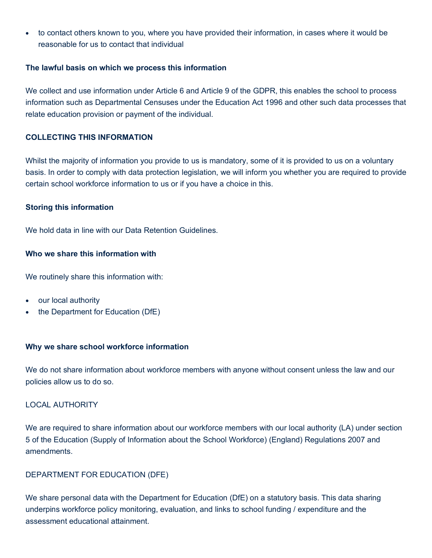• to contact others known to you, where you have provided their information, in cases where it would be reasonable for us to contact that individual

### **The lawful basis on which we process this information**

We collect and use information under Article 6 and Article 9 of the GDPR, this enables the school to process information such as Departmental Censuses under the Education Act 1996 and other such data processes that relate education provision or payment of the individual.

## **COLLECTING THIS INFORMATION**

Whilst the majority of information you provide to us is mandatory, some of it is provided to us on a voluntary basis. In order to comply with data protection legislation, we will inform you whether you are required to provide certain school workforce information to us or if you have a choice in this.

#### **Storing this information**

We hold data in line with our Data Retention Guidelines.

#### **Who we share this information with**

We routinely share this information with:

- our local authority
- the Department for Education (DfE)

## **Why we share school workforce information**

We do not share information about workforce members with anyone without consent unless the law and our policies allow us to do so.

## LOCAL AUTHORITY

We are required to share information about our workforce members with our local authority (LA) under section 5 of the Education (Supply of Information about the School Workforce) (England) Regulations 2007 and amendments.

## DEPARTMENT FOR EDUCATION (DFE)

We share personal data with the Department for Education (DfE) on a statutory basis. This data sharing underpins workforce policy monitoring, evaluation, and links to school funding / expenditure and the assessment educational attainment.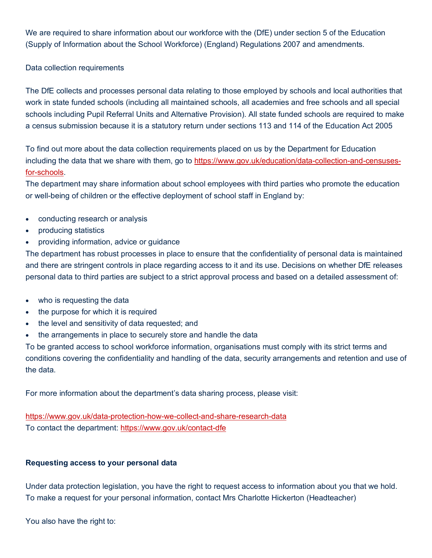We are required to share information about our workforce with the (DfE) under section 5 of the Education (Supply of Information about the School Workforce) (England) Regulations 2007 and amendments.

Data collection requirements

The DfE collects and processes personal data relating to those employed by schools and local authorities that work in state funded schools (including all maintained schools, all academies and free schools and all special schools including Pupil Referral Units and Alternative Provision). All state funded schools are required to make a census submission because it is a statutory return under sections 113 and 114 of the Education Act 2005

To find out more about the data collection requirements placed on us by the Department for Education including the data that we share with them, go to https://www.gov.uk/education/data-collection-and-censusesfor-schools.

The department may share information about school employees with third parties who promote the education or well-being of children or the effective deployment of school staff in England by:

- conducting research or analysis
- producing statistics
- providing information, advice or guidance

The department has robust processes in place to ensure that the confidentiality of personal data is maintained and there are stringent controls in place regarding access to it and its use. Decisions on whether DfE releases personal data to third parties are subject to a strict approval process and based on a detailed assessment of:

- who is requesting the data
- the purpose for which it is required
- the level and sensitivity of data requested; and
- the arrangements in place to securely store and handle the data

To be granted access to school workforce information, organisations must comply with its strict terms and conditions covering the confidentiality and handling of the data, security arrangements and retention and use of the data.

For more information about the department's data sharing process, please visit:

https://www.gov.uk/data-protection-how-we-collect-and-share-research-data To contact the department: https://www.gov.uk/contact-dfe

# **Requesting access to your personal data**

Under data protection legislation, you have the right to request access to information about you that we hold. To make a request for your personal information, contact Mrs Charlotte Hickerton (Headteacher)

You also have the right to: